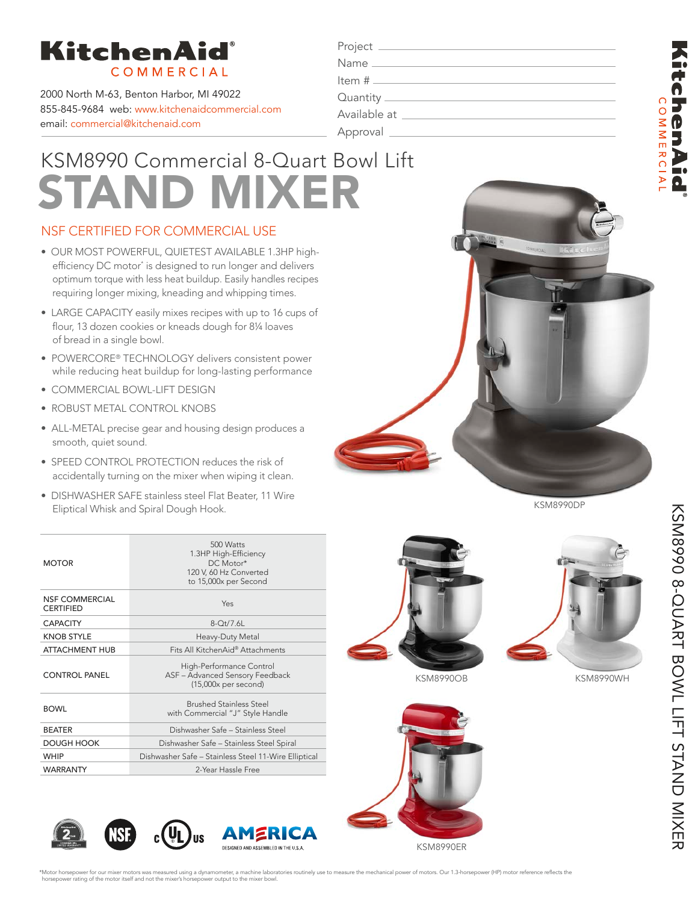

2000 North M-63, Benton Harbor, MI 49022 855-845-9684 web: www.kitchenaidcommercial.com email: commercial@kitchenaid.com

| Project .      |                                              |
|----------------|----------------------------------------------|
|                |                                              |
|                |                                              |
|                | Quantity ____________________                |
|                | Available at _______________________________ |
| Approval _____ |                                              |

# KSM8990 Commercial 8-Quart Bowl Lift STAND MIXER

### NSF CERTIFIED FOR COMMERCIAL USE

- OUR MOST POWERFUL, QUIETEST AVAILABLE 1.3HP highefficiency DC motor\* is designed to run longer and delivers optimum torque with less heat buildup. Easily handles recipes requiring longer mixing, kneading and whipping times.
- LARGE CAPACITY easily mixes recipes with up to 16 cups of flour, 13 dozen cookies or kneads dough for 8¼ loaves of bread in a single bowl.
- POWERCORE® TECHNOLOGY delivers consistent power while reducing heat buildup for long-lasting performance
- COMMERCIAL BOWL-LIFT DESIGN
- ROBUST METAL CONTROL KNOBS
- ALL-METAL precise gear and housing design produces a smooth, quiet sound.
- SPEED CONTROL PROTECTION reduces the risk of accidentally turning on the mixer when wiping it clean.
- DISHWASHER SAFE stainless steel Flat Beater, 11 Wire Eliptical Whisk and Spiral Dough Hook.

| <b>Raf</b> |
|------------|
|            |
|            |

KSM8990DP

| <b>MOTOR</b>                       | 500 Watts<br>1.3HP High-Efficiency<br>DC Motor*<br>120 V, 60 Hz Converted<br>to 15,000x per Second |
|------------------------------------|----------------------------------------------------------------------------------------------------|
| NSE COMMERCIAL<br><b>CERTIFIED</b> | Yes                                                                                                |
| <b>CAPACITY</b>                    | $8-Ot/7.6L$                                                                                        |
| <b>KNOB STYLE</b>                  | Heavy-Duty Metal                                                                                   |
| <b>ATTACHMENT HUB</b>              | Fits All KitchenAid® Attachments                                                                   |
| <b>CONTROL PANEL</b>               | High-Performance Control<br>ASF - Advanced Sensory Feedback<br>$(15,000x$ per second)              |
| <b>BOWL</b>                        | <b>Brushed Stainless Steel</b><br>with Commercial "J" Style Handle                                 |
| <b>BEATER</b>                      | Dishwasher Safe - Stainless Steel                                                                  |
| DOUGH HOOK                         | Dishwasher Safe - Stainless Steel Spiral                                                           |
| <b>WHIP</b>                        | Dishwasher Safe - Stainless Steel 11-Wire Elliptical                                               |
| <b>WARRANTY</b>                    | 2-Year Hassle Free                                                                                 |



KSM8990OB KSM8990WH









**chenAid COMMERCIA**